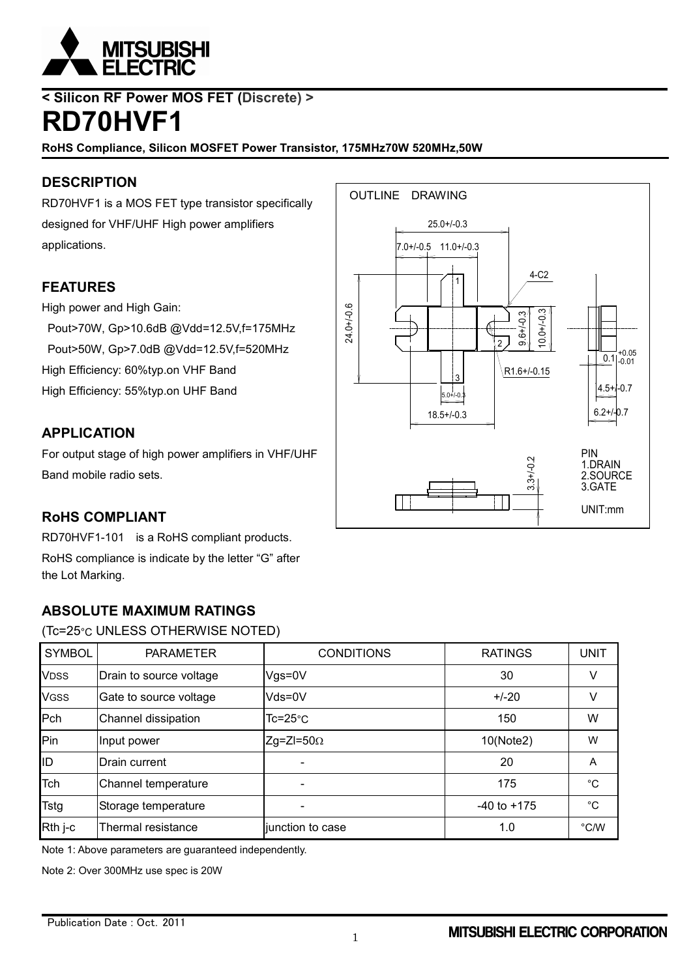

## **< Silicon RF Power MOS FET (Discrete) > RD70HVF1**

**RoHS Compliance, Silicon MOSFET Power Transistor, 175MHz70W 520MHz,50W**

## **DESCRIPTION**

RD70HVF1 is a MOS FET type transistor specifically designed for VHF/UHF High power amplifiers applications.

## **FEATURES**

High power and High Gain:

Pout>70W, Gp>10.6dB @Vdd=12.5V,f=175MHz Pout>50W, Gp>7.0dB @Vdd=12.5V,f=520MHz High Efficiency: 60%typ.on VHF Band High Efficiency: 55%typ.on UHF Band

## **APPLICATION**

For output stage of high power amplifiers in VHF/UHF Band mobile radio sets.



## **RoHS COMPLIANT**

RD70HVF1-101 is a RoHS compliant products.

RoHS compliance is indicate by the letter "G" after the Lot Marking.

## **ABSOLUTE MAXIMUM RATINGS**

#### (Tc=25°C UNLESS OTHERWISE NOTED)

| <b>SYMBOL</b> | <b>PARAMETER</b>        | <b>CONDITIONS</b>  | <b>RATINGS</b>  | <b>UNIT</b>   |
|---------------|-------------------------|--------------------|-----------------|---------------|
| <b>VDSS</b>   | Drain to source voltage | $Vgs = 0V$         | 30              | V             |
| <b>VGSS</b>   | Gate to source voltage  | Vds=0V             | $+/-20$         | V             |
| Pch           | Channel dissipation     | $Tc = 25^{\circ}C$ | 150             | W             |
| Pin           | Input power             | $Zg=ZI=50\Omega$   | 10(Note2)       | W             |
| ID            | Drain current           |                    | 20              | A             |
| Tch           | Channel temperature     |                    | 175             | $^{\circ}$ C  |
| <b>Tstg</b>   | Storage temperature     |                    | $-40$ to $+175$ | $^{\circ}$ C  |
| Rth j-c       | Thermal resistance      | junction to case   | 1.0             | $\degree$ C/W |

Note 1: Above parameters are guaranteed independently.

Note 2: Over 300MHz use spec is 20W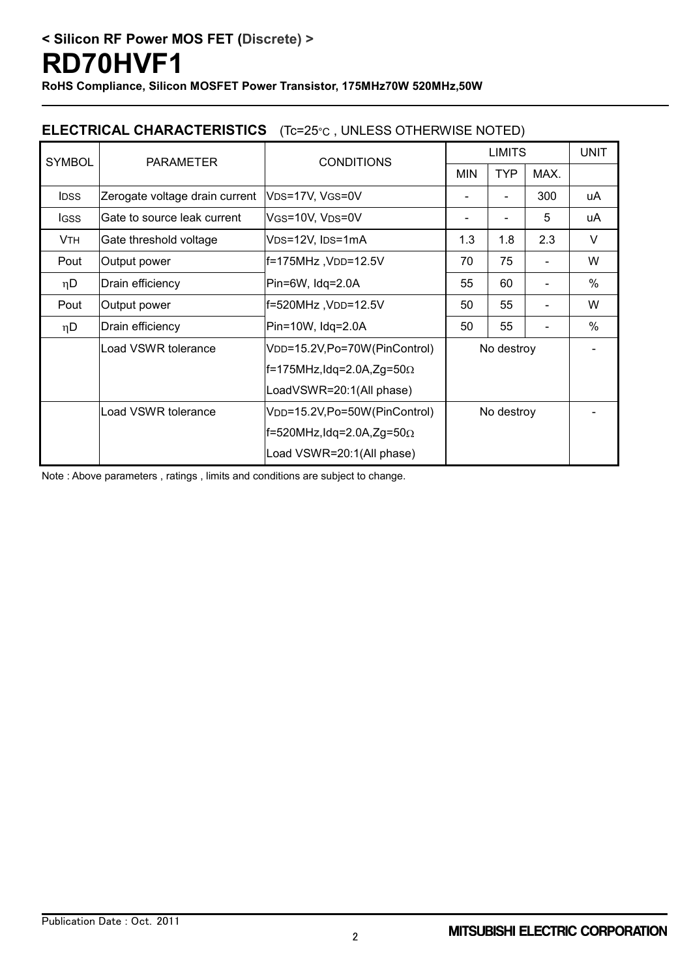**RoHS Compliance, Silicon MOSFET Power Transistor, 175MHz70W 520MHz,50W**

## **ELECTRICAL CHARACTERISTICS** (Tc=25°C , UNLESS OTHERWISE NOTED)

| <b>SYMBOL</b> | <b>PARAMETER</b>               | <b>CONDITIONS</b>                          | <b>LIMITS</b>            |            |      | <b>UNIT</b> |
|---------------|--------------------------------|--------------------------------------------|--------------------------|------------|------|-------------|
|               |                                |                                            | <b>MIN</b>               | <b>TYP</b> | MAX. |             |
| <b>IDSS</b>   | Zerogate voltage drain current | V <sub>DS</sub> =17V, V <sub>GS</sub> =0V  |                          |            | 300  | uA          |
| <b>IGSS</b>   | Gate to source leak current    | VGS=10V, VDS=0V                            |                          |            | 5    | uA          |
| <b>VTH</b>    | Gate threshold voltage         | V <sub>DS</sub> =12V, I <sub>DS</sub> =1mA | 1.3                      | 1.8        | 2.3  | V           |
| Pout          | Output power                   | f=175MHz, VDD=12.5V                        | 75<br>70                 |            | W    |             |
| $\eta$ D      | Drain efficiency               | $Pin=6W$ , $Idq=2.0A$                      | 55                       | 60         |      | %           |
| Pout          | Output power                   | f=520MHz, VDD=12.5V                        | 50                       | 55         |      | W           |
| $\eta$ D      | Drain efficiency               | Pin=10W, Idq=2.0A                          | 50                       | 55         |      | %           |
|               | Load VSWR tolerance            | V <sub>DD</sub> =15.2V,Po=70W(PinControl)  | No destroy<br>No destroy |            |      |             |
|               |                                | $f=175$ MHz, Idq=2.0A, Zg=50 $\Omega$      |                          |            |      |             |
|               |                                | LoadVSWR=20:1(All phase)                   |                          |            |      |             |
|               | Load VSWR tolerance            | V <sub>DD</sub> =15.2V,Po=50W(PinControl)  |                          |            |      |             |
|               |                                | f=520MHz,Idq=2.0A,Zg=50 $\Omega$           |                          |            |      |             |
|               |                                | Load VSWR=20:1(All phase)                  |                          |            |      |             |

Note : Above parameters , ratings , limits and conditions are subject to change.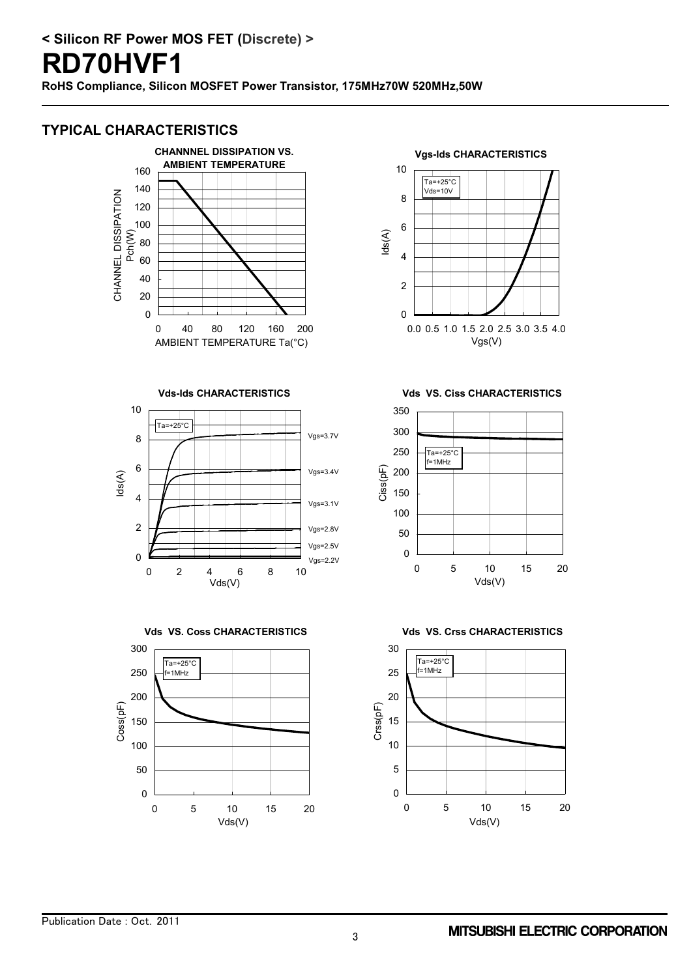## **TYPICAL CHARACTERISTICS**



**Vds-Ids CHARACTERISTICS**







**Vgs-Ids CHARACTERISTICS**



**Vds VS. Ciss CHARACTERISTICS**



**Vds VS. Crss CHARACTERISTICS**

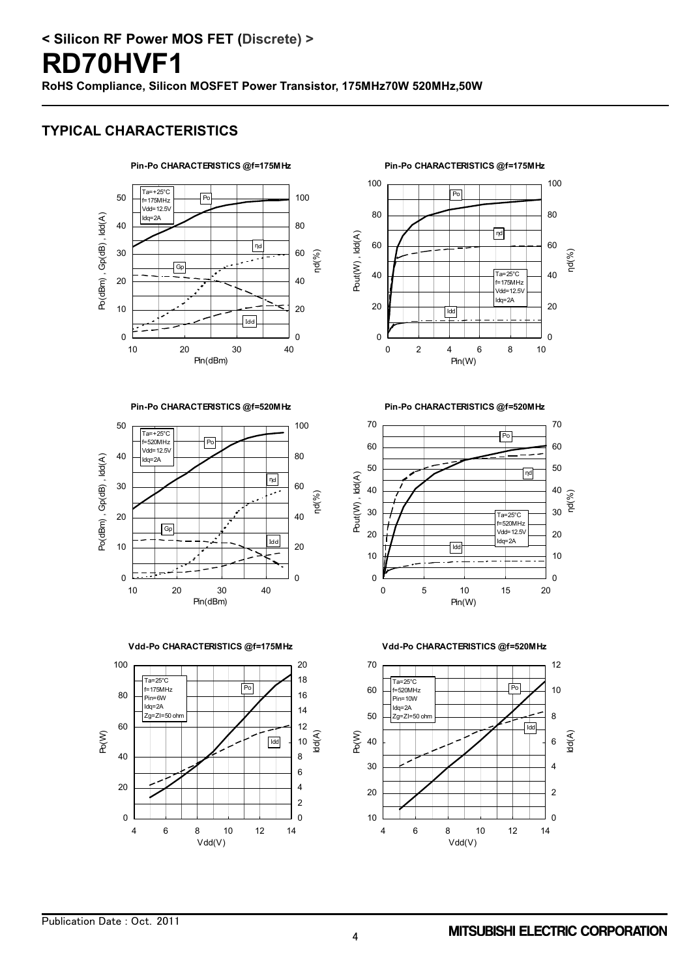## **TYPICAL CHARACTERISTICS**



**Pin-Po CHARACTERISTICS @f=520MHz**



**Vdd-Po CHARACTERISTICS @f=175MHz**



**Pin-Po CHARACTERISTICS @f=175MHz**



**Pin-Po CHARACTERISTICS @f=520MHz**



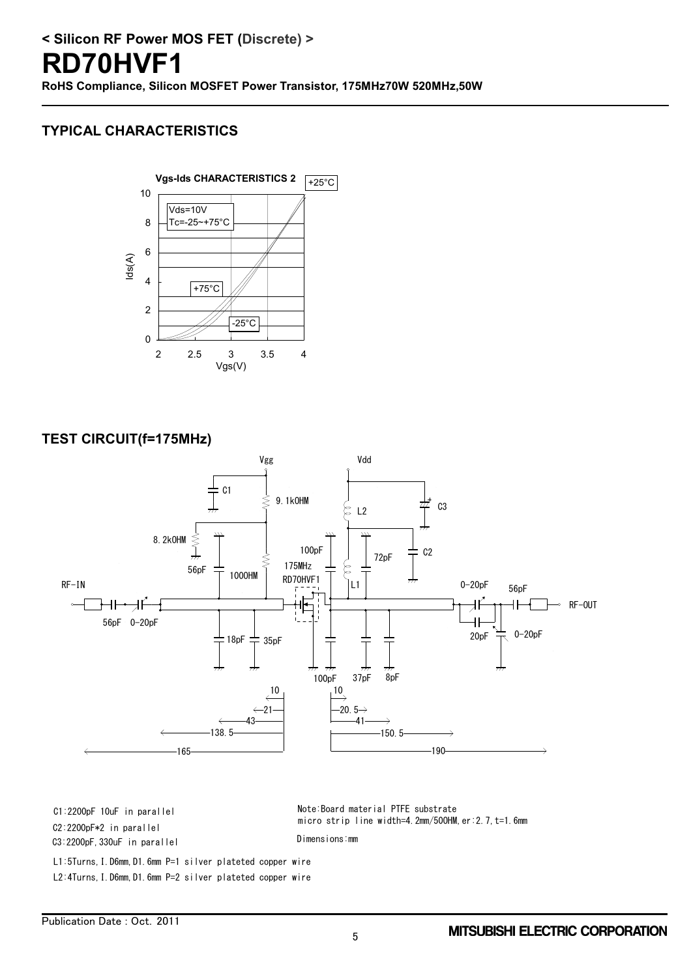## **TYPICAL CHARACTERISTICS**



#### **TEST CIRCUIT(f=175MHz)**



C3:2200pF,330uF in parallel

L2:4Turns,I.D6mm,D1.6mm P=2 silver plateted copper wire L1:5Turns,I.D6mm,D1.6mm P=1 silver plateted copper wire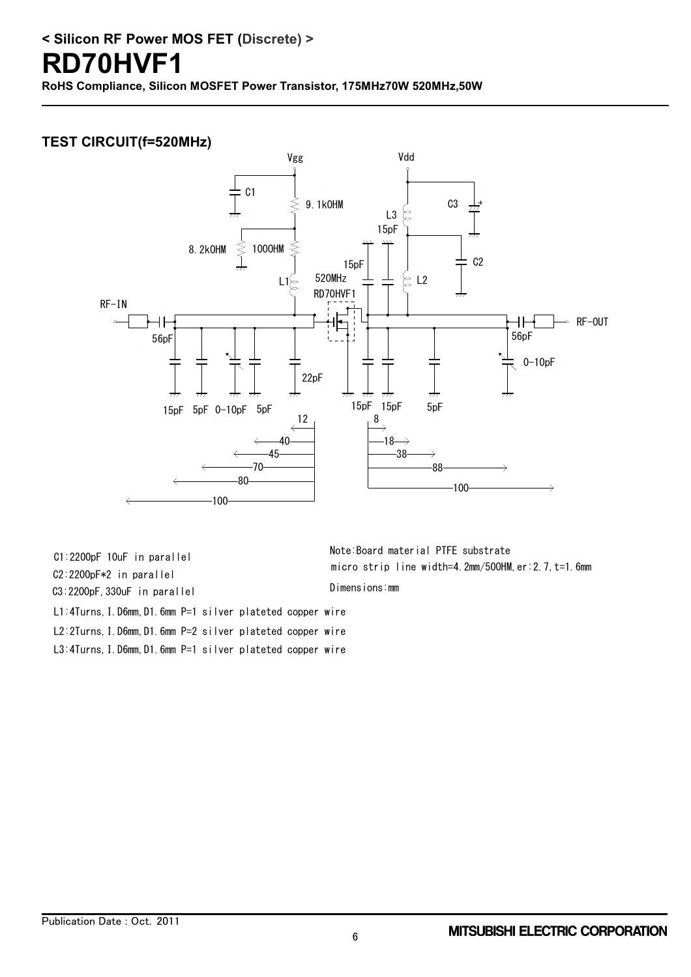**RoHS Compliance, Silicon MOSFET Power Transistor, 175MHz70W 520MHz,50W**

## **TEST CIRCUIT(f=520MHz)**



L3:4Turns,I.D6mm,D1.6mm P=1 silver plateted copper wire Note:Board material PTFE substrate C1:2200pF 10uF in parallel L1:4Turns,I.D6mm,D1.6mm P=1 silver plateted copper wire C2:2200pF\*2 in parallel C3:2200pF,330uF in parallel L2:2Turns,I.D6mm,D1.6mm P=2 silver plateted copper wire

micro strip line width=4.2mm/50OHM,er:2.7,t=1.6mm Dimensions:mm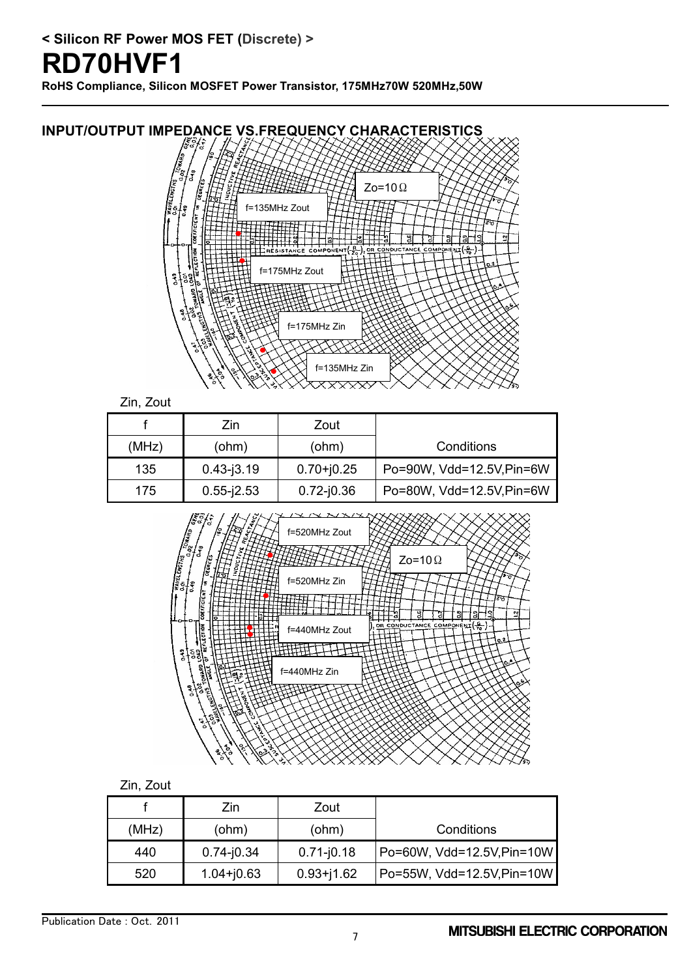# **RD70HVF1**

**RoHS Compliance, Silicon MOSFET Power Transistor, 175MHz70W 520MHz,50W**



|                |     | Zin.           | Zout           |                            |
|----------------|-----|----------------|----------------|----------------------------|
| (MHz)<br>(ohm) |     |                | (ohm)          | Conditions                 |
|                | 440 | $0.74 - j0.34$ | $0.71 - j0.18$ | Po=60W, Vdd=12.5V, Pin=10W |
|                | 520 | $1.04 + j0.63$ | $0.93 + j1.62$ | Po=55W, Vdd=12.5V, Pin=10W |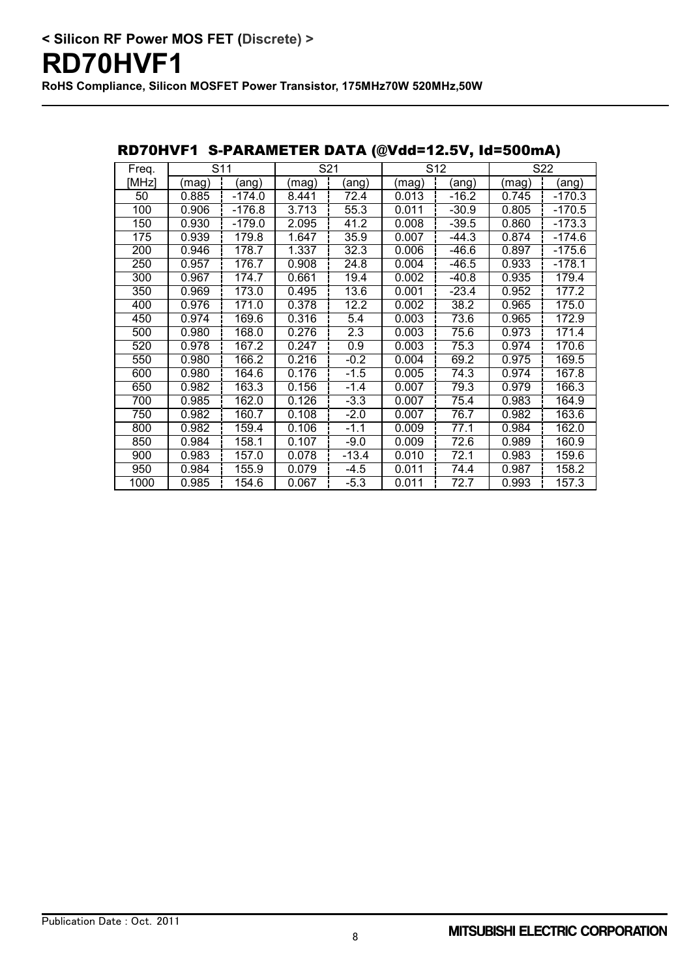| Freq. |       | $\overline{S}11$ |       | S <sub>21</sub> | S <sub>12</sub> |         |       | S22      |
|-------|-------|------------------|-------|-----------------|-----------------|---------|-------|----------|
| [MHz] | (mag) | (ang)            | (mag) | (ang)           | (mag)           | (ang)   | (mag) | (ang)    |
| 50    | 0.885 | $-174.0$         | 8.441 | 72.4            | 0.013           | $-16.2$ | 0.745 | $-170.3$ |
| 100   | 0.906 | $-176.8$         | 3.713 | 55.3            | 0.011           | $-30.9$ | 0.805 | $-170.5$ |
| 150   | 0.930 | $-179.0$         | 2.095 | 41.2            | 0.008           | $-39.5$ | 0.860 | $-173.3$ |
| 175   | 0.939 | 179.8            | 1.647 | 35.9            | 0.007           | -44.3   | 0.874 | $-174.6$ |
| 200   | 0.946 | 178.7            | 1.337 | 32.3            | 0.006           | $-46.6$ | 0.897 | $-175.6$ |
| 250   | 0.957 | 176.7            | 0.908 | 24.8            | 0.004           | $-46.5$ | 0.933 | $-178.1$ |
| 300   | 0.967 | 174.7            | 0.661 | 19.4            | 0.002           | $-40.8$ | 0.935 | 179.4    |
| 350   | 0.969 | 173.0            | 0.495 | 13.6            | 0.001           | $-23.4$ | 0.952 | 177.2    |
| 400   | 0.976 | 171.0            | 0.378 | 12.2            | 0.002           | 38.2    | 0.965 | 175.0    |
| 450   | 0.974 | 169.6            | 0.316 | 5.4             | 0.003           | 73.6    | 0.965 | 172.9    |
| 500   | 0.980 | 168.0            | 0.276 | 2.3             | 0.003           | 75.6    | 0.973 | 171.4    |
| 520   | 0.978 | 167.2            | 0.247 | 0.9             | 0.003           | 75.3    | 0.974 | 170.6    |
| 550   | 0.980 | 166.2            | 0.216 | $-0.2$          | 0.004           | 69.2    | 0.975 | 169.5    |
| 600   | 0.980 | 164.6            | 0.176 | $-1.5$          | 0.005           | 74.3    | 0.974 | 167.8    |
| 650   | 0.982 | 163.3            | 0.156 | $-1.4$          | 0.007           | 79.3    | 0.979 | 166.3    |
| 700   | 0.985 | 162.0            | 0.126 | $-3.3$          | 0.007           | 75.4    | 0.983 | 164.9    |
| 750   | 0.982 | 160.7            | 0.108 | $-2.0$          | 0.007           | 76.7    | 0.982 | 163.6    |
| 800   | 0.982 | 159.4            | 0.106 | $-1.1$          | 0.009           | 77.1    | 0.984 | 162.0    |
| 850   | 0.984 | 158.1            | 0.107 | $-9.0$          | 0.009           | 72.6    | 0.989 | 160.9    |
| 900   | 0.983 | 157.0            | 0.078 | $-13.4$         | 0.010           | 72.1    | 0.983 | 159.6    |
| 950   | 0.984 | 155.9            | 0.079 | -4.5            | 0.011           | 74.4    | 0.987 | 158.2    |
| 1000  | 0.985 | 154.6            | 0.067 | $-5.3$          | 0.011           | 72.7    | 0.993 | 157.3    |

#### RD70HVF1 S-PARAMETER DATA (@Vdd=12.5V, Id=500mA)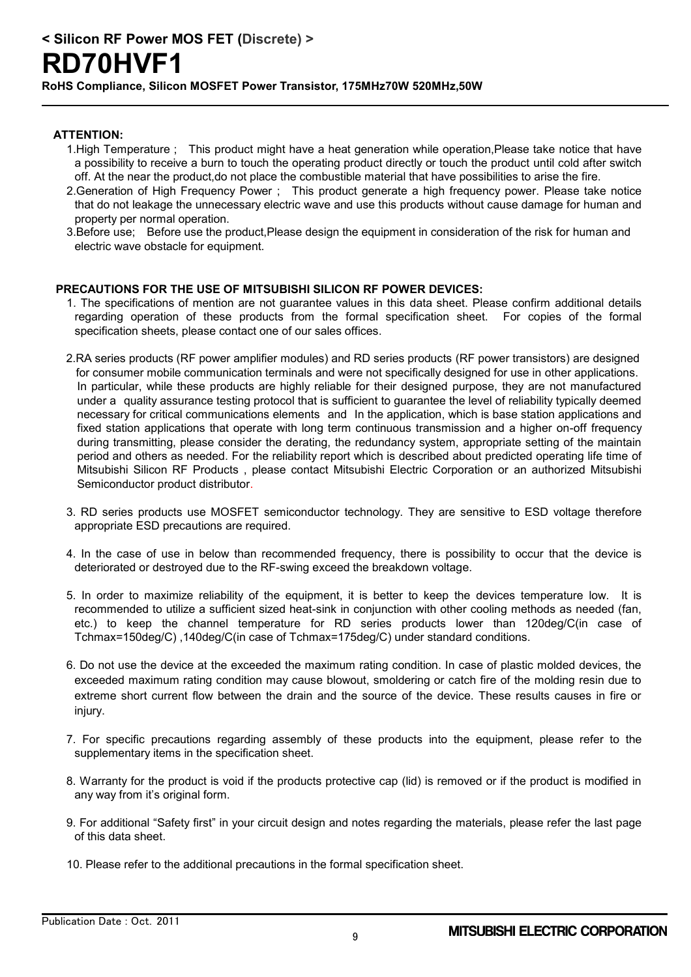## **RD70HVF1**

**RoHS Compliance, Silicon MOSFET Power Transistor, 175MHz70W 520MHz,50W**

#### **ATTENTION:**

- 1.High Temperature ; This product might have a heat generation while operation,Please take notice that have a possibility to receive a burn to touch the operating product directly or touch the product until cold after switch off. At the near the product,do not place the combustible material that have possibilities to arise the fire.
- 2.Generation of High Frequency Power ; This product generate a high frequency power. Please take notice that do not leakage the unnecessary electric wave and use this products without cause damage for human and property per normal operation.
- 3.Before use; Before use the product,Please design the equipment in consideration of the risk for human and electric wave obstacle for equipment.

#### **PRECAUTIONS FOR THE USE OF MITSUBISHI SILICON RF POWER DEVICES:**

- 1. The specifications of mention are not guarantee values in this data sheet. Please confirm additional details regarding operation of these products from the formal specification sheet. For copies of the formal specification sheets, please contact one of our sales offices.
- 2.RA series products (RF power amplifier modules) and RD series products (RF power transistors) are designed for consumer mobile communication terminals and were not specifically designed for use in other applications. In particular, while these products are highly reliable for their designed purpose, they are not manufactured under a quality assurance testing protocol that is sufficient to guarantee the level of reliability typically deemed necessary for critical communications elements and In the application, which is base station applications and fixed station applications that operate with long term continuous transmission and a higher on-off frequency during transmitting, please consider the derating, the redundancy system, appropriate setting of the maintain period and others as needed. For the reliability report which is described about predicted operating life time of Mitsubishi Silicon RF Products , please contact Mitsubishi Electric Corporation or an authorized Mitsubishi Semiconductor product distributor.
- 3. RD series products use MOSFET semiconductor technology. They are sensitive to ESD voltage therefore appropriate ESD precautions are required.
- 4. In the case of use in below than recommended frequency, there is possibility to occur that the device is deteriorated or destroyed due to the RF-swing exceed the breakdown voltage.
- 5. In order to maximize reliability of the equipment, it is better to keep the devices temperature low. It is recommended to utilize a sufficient sized heat-sink in conjunction with other cooling methods as needed (fan, etc.) to keep the channel temperature for RD series products lower than 120deg/C(in case of Tchmax=150deg/C) ,140deg/C(in case of Tchmax=175deg/C) under standard conditions.
- 6. Do not use the device at the exceeded the maximum rating condition. In case of plastic molded devices, the exceeded maximum rating condition may cause blowout, smoldering or catch fire of the molding resin due to extreme short current flow between the drain and the source of the device. These results causes in fire or injury.
- 7. For specific precautions regarding assembly of these products into the equipment, please refer to the supplementary items in the specification sheet.
- 8. Warranty for the product is void if the products protective cap (lid) is removed or if the product is modified in any way from it's original form.
- 9. For additional "Safety first" in your circuit design and notes regarding the materials, please refer the last page of this data sheet.
- 10. Please refer to the additional precautions in the formal specification sheet.